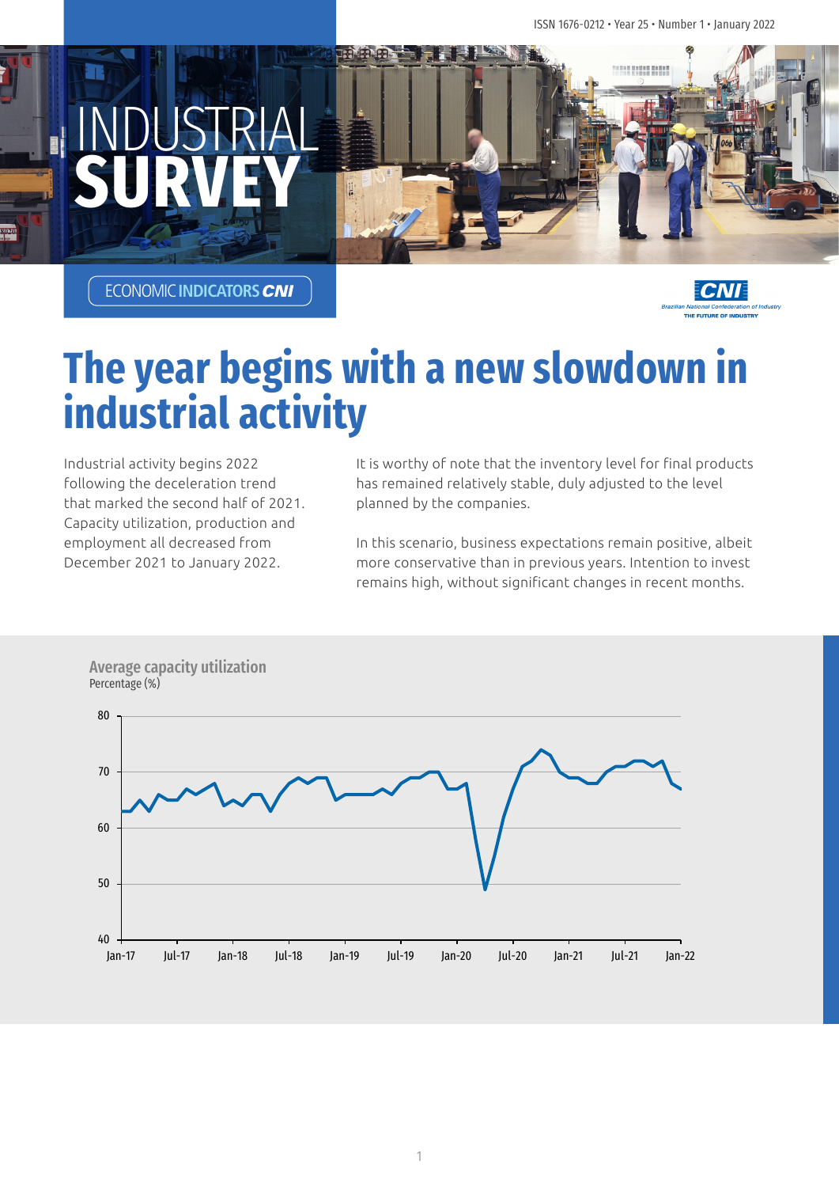

ECONOMIC**INDICATORS**



# **The year begins with a new slowdown in industrial activity**

Industrial activity begins 2022 following the deceleration trend that marked the second half of 2021. Capacity utilization, production and employment all decreased from December 2021 to January 2022.

It is worthy of note that the inventory level for final products has remained relatively stable, duly adjusted to the level planned by the companies.

In this scenario, business expectations remain positive, albeit more conservative than in previous years. Intention to invest remains high, without significant changes in recent months.



Average capacity utilization Percentage (%)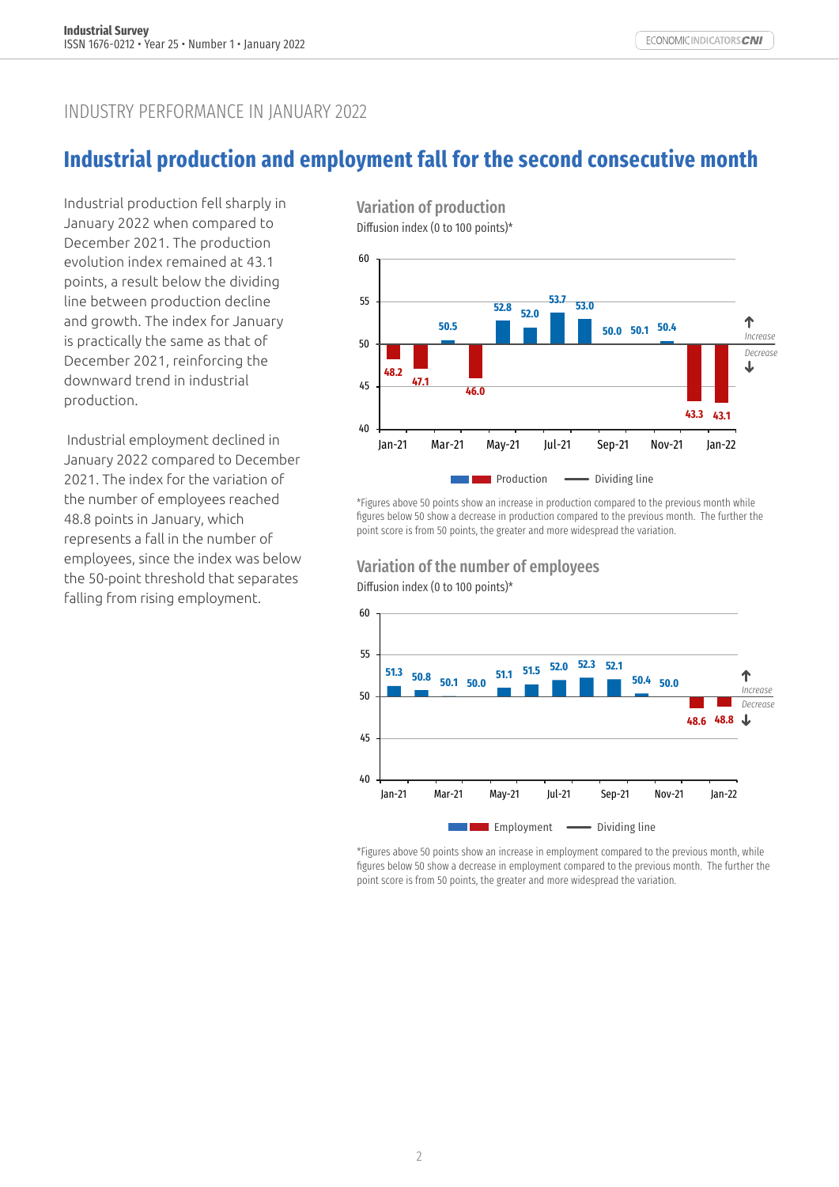### INDUSTRY PERFORMANCE IN JANUARY 2022

# **Industrial production and employment fall for the second consecutive month**

Industrial production fell sharply in January 2022 when compared to December 2021. The production evolution index remained at 43.1 points, a result below the dividing line between production decline and growth. The index for January is practically the same as that of December 2021, reinforcing the downward trend in industrial production.

 Industrial employment declined in January 2022 compared to December 2021. The index for the variation of the number of employees reached 48.8 points in January, which represents a fall in the number of employees, since the index was below the 50-point threshold that separates falling from rising employment.

60 Variation of production Diffusion index (0 to 100 points)\*



\*Figures above 50 points show an increase in production compared to the previous month while figures below 50 show a decrease in production compared to the previous month. The further the point score is from 50 points, the greater and more widespread the variation.





\*Figures above 50 points show an increase in employment compared to the previous month, while figures below 50 show a decrease in employment compared to the previous month. The further the point score is from 50 points, the greater and more widespread the variation.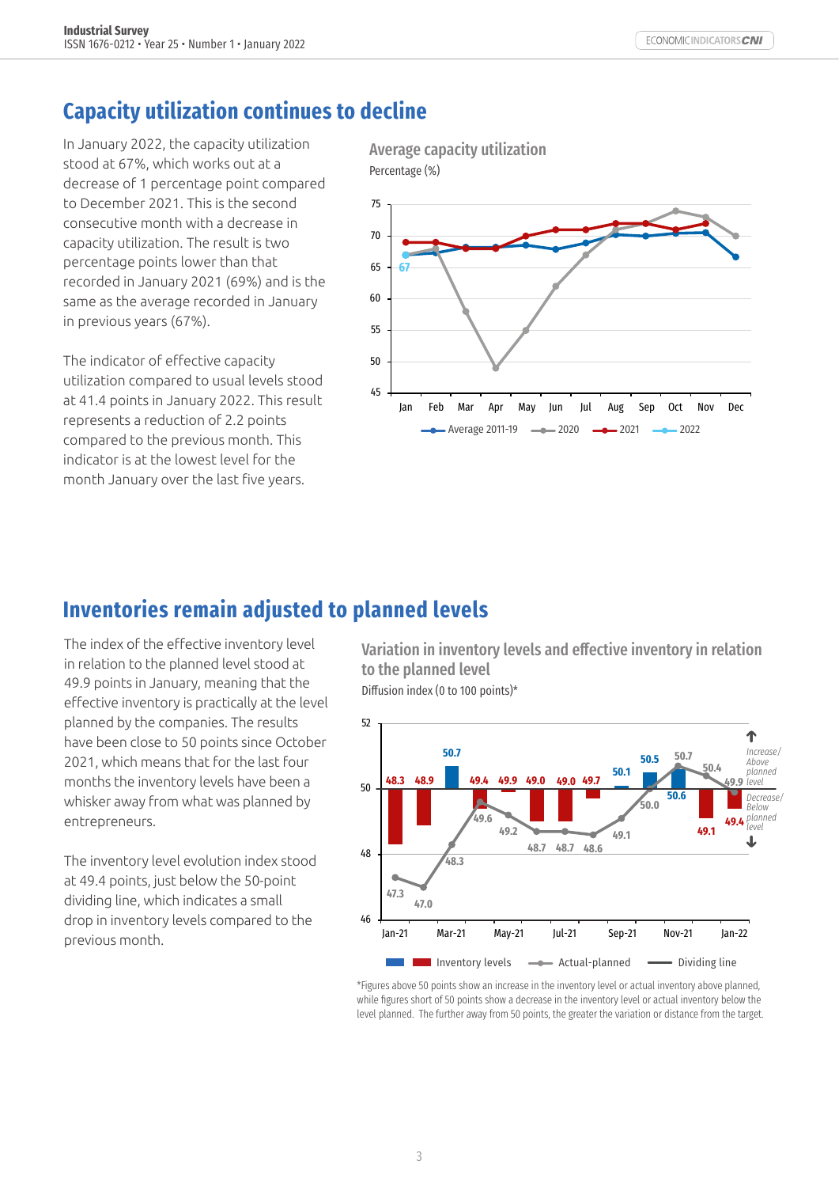# **Capacity utilization continues to decline**

In January 2022, the capacity utilization stood at 67%, which works out at a decrease of 1 percentage point compared to December 2021. This is the second consecutive month with a decrease in capacity utilization. The result is two percentage points lower than that recorded in January 2021 (69%) and is the same as the average recorded in January in previous years (67%).

The indicator of effective capacity utilization compared to usual levels stood at 41.4 points in January 2022. This result represents a reduction of 2.2 points compared to the previous month. This indicator is at the lowest level for the month January over the last five years.

Average capacity utilization Percentage (%)



### **Inventories remain adjusted to planned levels**

The index of the effective inventory level in relation to the planned level stood at 49.9 points in January, meaning that the effective inventory is practically at the level planned by the companies. The results have been close to 50 points since October 2021, which means that for the last four months the inventory levels have been a whisker away from what was planned by entrepreneurs.

The inventory level evolution index stood at 49.4 points, just below the 50-point dividing line, which indicates a small drop in inventory levels compared to the previous month.

Variation in inventory levels and effective inventory in relation to the planned level Diffusion index (0 to 100 points)\*



\*Figures above 50 points show an increase in the inventory level or actual inventory above planned, while figures short of 50 points show a decrease in the inventory level or actual inventory below the level planned. The further away from 50 points, the greater the variation or distance from the target.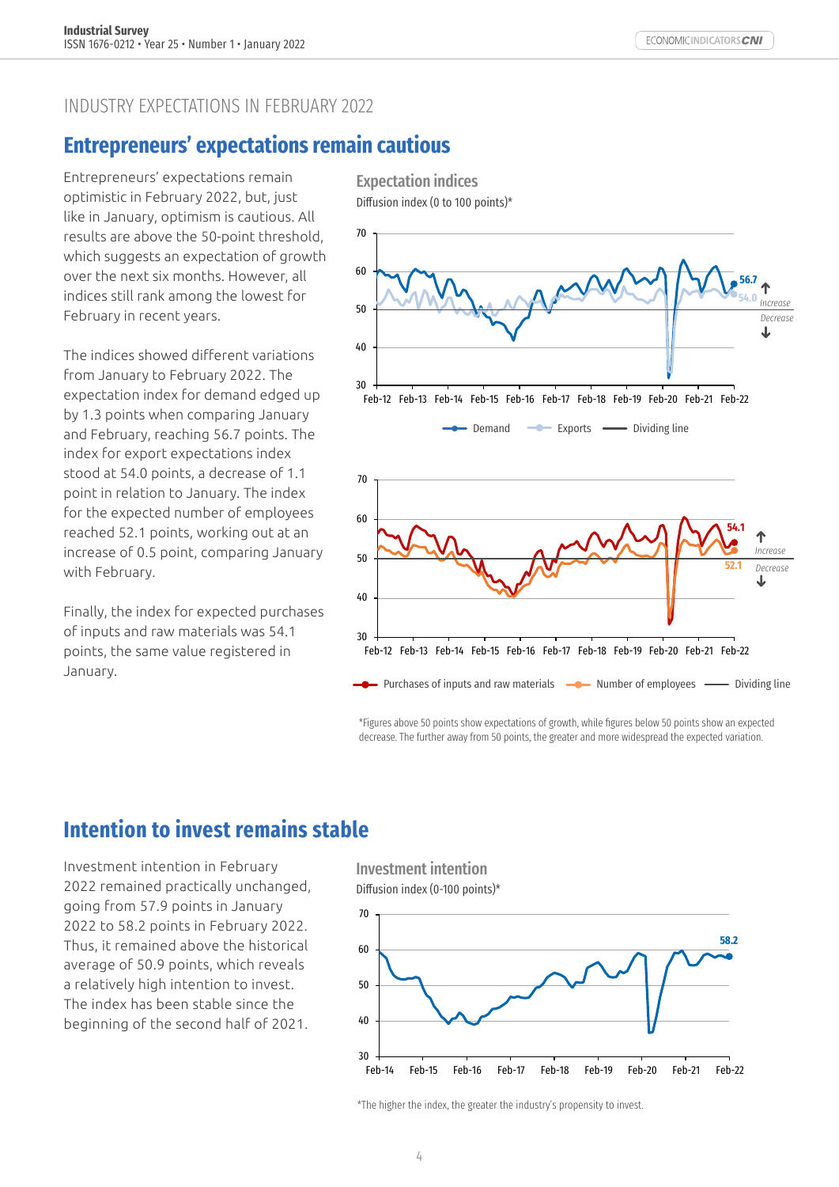#### INDUSTRY EXPECTATIONS IN FEBRUARY 2022

### **Entrepreneurs' expectations remain cautious**

Entrepreneurs' expectations remain optimistic in February 2022, but, just like in January, optimism is cautious. All results are above the 50-point threshold, which suggests an expectation of growth over the next six months. However, all indices still rank among the lowest for February in recent years.

The indices showed different variations from January to February 2022. The expectation index for demand edged up by 1.3 points when comparing January and February, reaching 56.7 points. The index for export expectations index stood at 54.0 points, a decrease of 1.1 point in relation to January. The index for the expected number of employees reached 52.1 points, working out at an increase of 0.5 point, comparing January with February.

Finally, the index for expected purchases of inputs and raw materials was 54.1 points, the same value registered in January.

Diffusion index (0 to 100 points)\* 70 60 **56.7 54.0** *Increase* 50 *Decrease* 40 30 Feb-12 Feb-13 Feb-14 Feb-15 Feb-16 Feb-17 Feb-18 Feb-19 Feb-20 Feb-21 Feb-22 **-** Demand  $\longrightarrow$  Exports  $\longrightarrow$  Dividing line 70 60 **54.1** *Increase* 50 **52.1** *Decrease* J 40 30 Feb-12 Feb-13 Feb-14 Feb-15 Feb-16 Feb-17 Feb-18 Feb-19 Feb-20 Feb-21 Feb-22 **Purchases of inputs and raw materials**  $\rightarrow$  **Number of employees**  $\rightarrow$  Dividing line

\*Figures above 50 points show expectations of growth, while figures below 50 points show an expected decrease. The further away from 50 points, the greater and more widespread the expected variation.

# **Intention to invest remains stable**

Investment intention in February 2022 remained practically unchanged, going from 57.9 points in January 2022 to 58.2 points in February 2022. Thus, it remained above the historical average of 50.9 points, which reveals a relatively high intention to invest. The index has been stable since the beginning of the second half of 2021.

Investment intention Diffusion index (0-100 points)\*

Expectation indices



\*The higher the index, the greater the industry's propensity to invest.